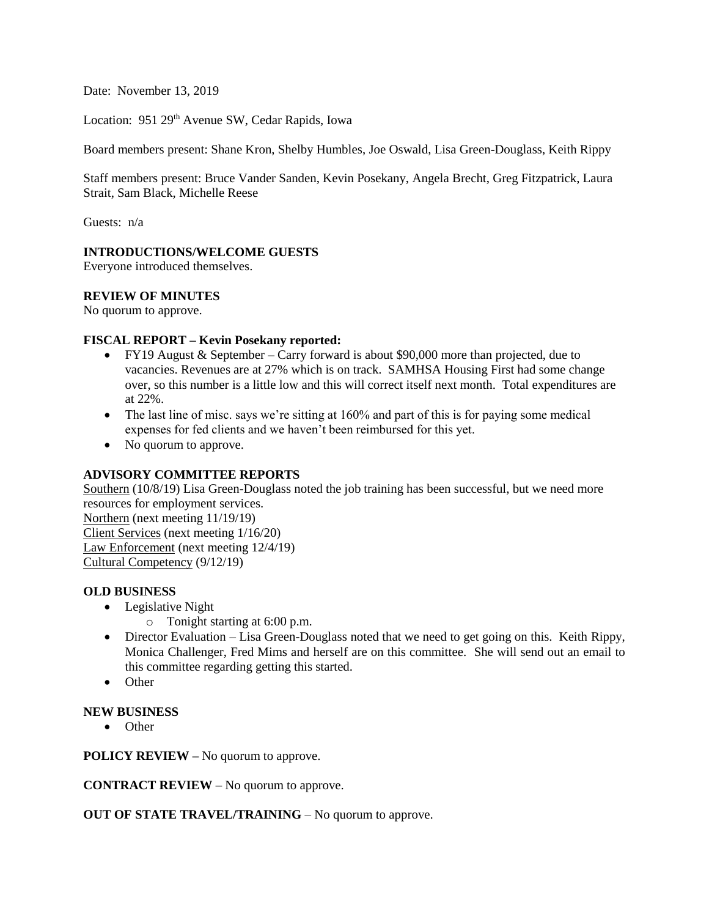Date: November 13, 2019

Location: 951 29<sup>th</sup> Avenue SW, Cedar Rapids, Iowa

Board members present: Shane Kron, Shelby Humbles, Joe Oswald, Lisa Green-Douglass, Keith Rippy

Staff members present: Bruce Vander Sanden, Kevin Posekany, Angela Brecht, Greg Fitzpatrick, Laura Strait, Sam Black, Michelle Reese

Guests: n/a

#### **INTRODUCTIONS/WELCOME GUESTS**

Everyone introduced themselves.

### **REVIEW OF MINUTES**

No quorum to approve.

#### **FISCAL REPORT – Kevin Posekany reported:**

- FY19 August & September Carry forward is about \$90,000 more than projected, due to vacancies. Revenues are at 27% which is on track. SAMHSA Housing First had some change over, so this number is a little low and this will correct itself next month. Total expenditures are at 22%.
- The last line of misc. says we're sitting at 160% and part of this is for paying some medical expenses for fed clients and we haven't been reimbursed for this yet.
- No quorum to approve.

## **ADVISORY COMMITTEE REPORTS**

Southern (10/8/19) Lisa Green-Douglass noted the job training has been successful, but we need more resources for employment services.

Northern (next meeting 11/19/19) Client Services (next meeting 1/16/20) Law Enforcement (next meeting 12/4/19) Cultural Competency (9/12/19)

#### **OLD BUSINESS**

- Legislative Night
	- o Tonight starting at 6:00 p.m.
- Director Evaluation Lisa Green-Douglass noted that we need to get going on this. Keith Rippy, Monica Challenger, Fred Mims and herself are on this committee. She will send out an email to this committee regarding getting this started.
- Other

#### **NEW BUSINESS**

• Other

**POLICY REVIEW –** No quorum to approve.

**CONTRACT REVIEW** – No quorum to approve.

**OUT OF STATE TRAVEL/TRAINING** – No quorum to approve.